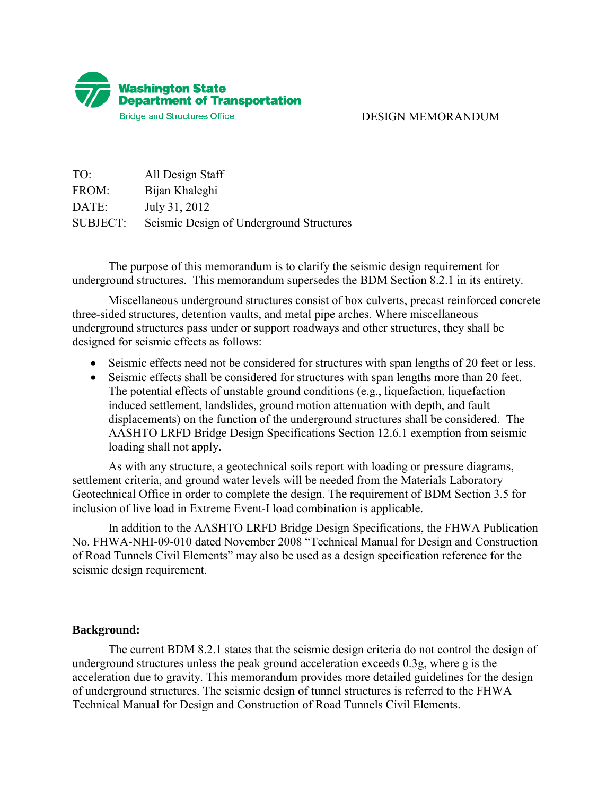

## DESIGN MEMORANDUM

| TO:             | All Design Staff                         |
|-----------------|------------------------------------------|
| FROM:           | Bijan Khaleghi                           |
| DATE:           | July 31, 2012                            |
| <b>SUBJECT:</b> | Seismic Design of Underground Structures |

 The purpose of this memorandum is to clarify the seismic design requirement for underground structures. This memorandum supersedes the BDM Section 8.2.1 in its entirety.

 Miscellaneous underground structures consist of box culverts, precast reinforced concrete three-sided structures, detention vaults, and metal pipe arches. Where miscellaneous underground structures pass under or support roadways and other structures, they shall be designed for seismic effects as follows:

- Seismic effects need not be considered for structures with span lengths of 20 feet or less.
- Seismic effects shall be considered for structures with span lengths more than 20 feet. The potential effects of unstable ground conditions (e.g., liquefaction, liquefaction induced settlement, landslides, ground motion attenuation with depth, and fault displacements) on the function of the underground structures shall be considered. The AASHTO LRFD Bridge Design Specifications Section 12.6.1 exemption from seismic loading shall not apply.

 As with any structure, a geotechnical soils report with loading or pressure diagrams, settlement criteria, and ground water levels will be needed from the Materials Laboratory Geotechnical Office in order to complete the design. The requirement of BDM Section 3.5 for inclusion of live load in Extreme Event-I load combination is applicable.

 In addition to the AASHTO LRFD Bridge Design Specifications, the FHWA Publication No. FHWA-NHI-09-010 dated November 2008 "Technical Manual for Design and Construction of Road Tunnels Civil Elements" may also be used as a design specification reference for the seismic design requirement.

## **Background:**

 The current BDM 8.2.1 states that the seismic design criteria do not control the design of underground structures unless the peak ground acceleration exceeds 0.3g, where g is the acceleration due to gravity. This memorandum provides more detailed guidelines for the design of underground structures. The seismic design of tunnel structures is referred to the FHWA Technical Manual for Design and Construction of Road Tunnels Civil Elements.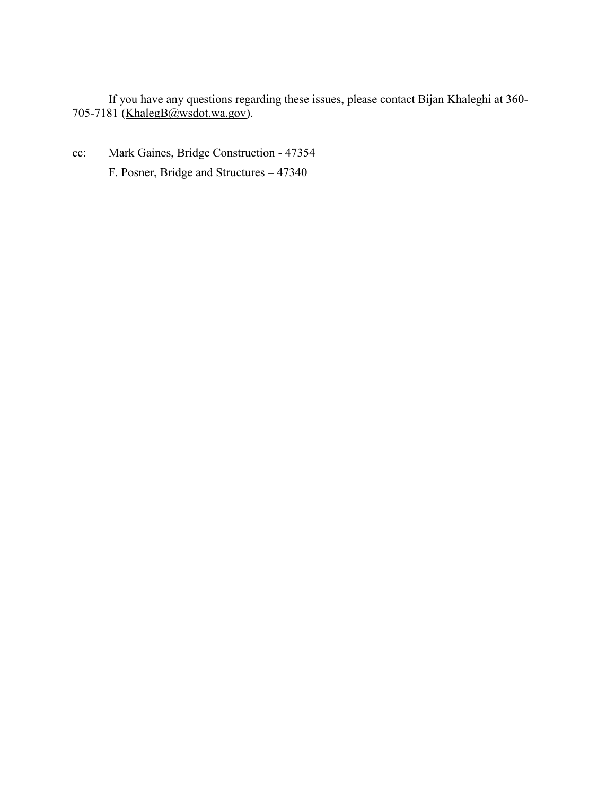If you have any questions regarding these issues, please contact Bijan Khaleghi at 360- 705-7181 [\(KhalegB@wsdot.wa.gov\)](mailto:KhalegB@wsdot.wa.gov).

cc: Mark Gaines, Bridge Construction - 47354 F. Posner, Bridge and Structures – 47340